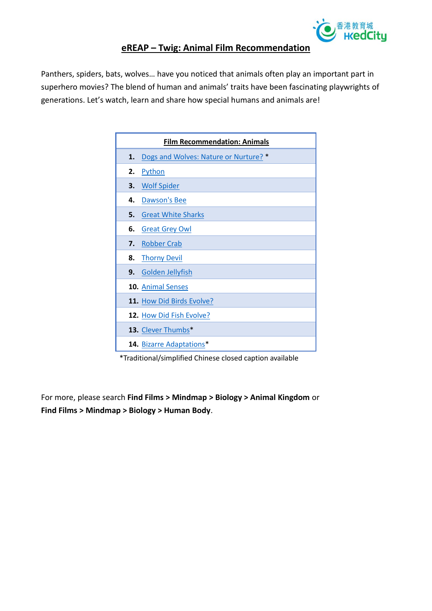

## **eREAP – Twig: Animal Film Recommendation**

Panthers, spiders, bats, wolves… have you noticed that animals often play an important part in superhero movies? The blend of human and animals' traits have been fascinating playwrights of generations. Let's watch, learn and share how special humans and animals are!

|    | <b>Film Recommendation: Animals</b>   |
|----|---------------------------------------|
| 1. | Dogs and Wolves: Nature or Nurture? * |
| 2. | <b>Python</b>                         |
| 3. | <b>Wolf Spider</b>                    |
| 4. | <b>Dawson's Bee</b>                   |
| 5. | <b>Great White Sharks</b>             |
| 6. | <b>Great Grey Owl</b>                 |
| 7. | <b>Robber Crab</b>                    |
| 8. | <b>Thorny Devil</b>                   |
|    | 9. Golden Jellyfish                   |
|    | 10. Animal Senses                     |
|    | 11. How Did Birds Evolve?             |
|    | 12. How Did Fish Evolve?              |
|    | 13. Clever Thumbs*                    |
|    | 14. Bizarre Adaptations*              |

\*Traditional/simplified Chinese closed caption available

For more, please search **Find Films > Mindmap > Biology > Animal Kingdom** or **Find Films > Mindmap > Biology > Human Body**.